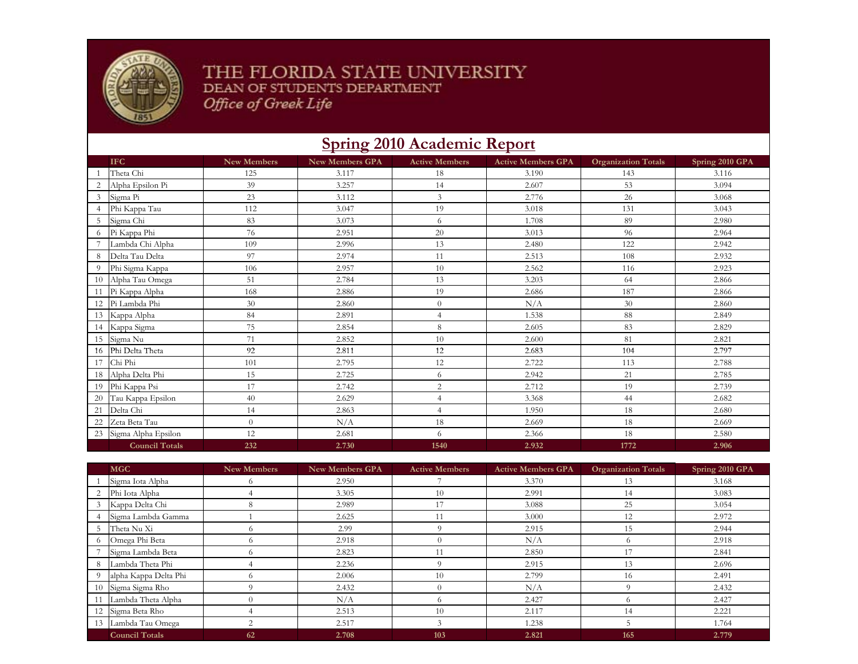

## THE FLORIDA STATE UNIVERSITY DEAN OF STUDENTS DEPARTMENT Office of Greek Life

## **Spring 2010 Academic Report**

|    | <b>IFC</b>            | <b>New Members</b> | <b>New Members GPA</b> | <b>Active Members</b> | <b>Active Members GPA</b> | <b>Organization Totals</b> | Spring 2010 GPA |
|----|-----------------------|--------------------|------------------------|-----------------------|---------------------------|----------------------------|-----------------|
|    | Theta Chi             | 125                | 3.117                  | 18                    | 3.190                     | 143                        | 3.116           |
|    | Alpha Epsilon Pi      | 39                 | 3.257                  | 14                    | 2.607                     | 53                         | 3.094           |
| 3  | Sigma Pi              | 23                 | 3.112                  | 3                     | 2.776                     | 26                         | 3.068           |
|    | Phi Kappa Tau         | 112                | 3.047                  | 19                    | 3.018                     | 131                        | 3.043           |
| 5  | Sigma Chi             | 83                 | 3.073                  | 6                     | 1.708                     | 89                         | 2.980           |
| 6  | Pi Kappa Phi          | 76                 | 2.951                  | 20                    | 3.013                     | 96                         | 2.964           |
|    | Lambda Chi Alpha      | 109                | 2.996                  | 13                    | 2.480                     | 122                        | 2.942           |
| 8  | Delta Tau Delta       | 97                 | 2.974                  | 11                    | 2.513                     | 108                        | 2.932           |
| 9  | Phi Sigma Kappa       | 106                | 2.957                  | 10                    | 2.562                     | 116                        | 2.923           |
| 10 | Alpha Tau Omega       | 51                 | 2.784                  | 13                    | 3.203                     | 64                         | 2.866           |
| 11 | Pi Kappa Alpha        | 168                | 2.886                  | 19                    | 2.686                     | 187                        | 2.866           |
|    | 12 Pi Lambda Phi      | 30                 | 2.860                  | $\theta$              | N/A                       | 30                         | 2.860           |
| 13 | Kappa Alpha           | 84                 | 2.891                  | $\overline{4}$        | 1.538                     | 88                         | 2.849           |
|    | 14 Kappa Sigma        | 75                 | 2.854                  | 8                     | 2.605                     | 83                         | 2.829           |
| 15 | Sigma Nu              | 71                 | 2.852                  | 10                    | 2.600                     | 81                         | 2.821           |
|    | 16 Phi Delta Theta    | 92                 | 2.811                  | 12                    | 2.683                     | 104                        | 2.797           |
| 17 | Chi Phi               | 101                | 2.795                  | 12                    | 2.722                     | 113                        | 2.788           |
| 18 | Alpha Delta Phi       | 15                 | 2.725                  | 6                     | 2.942                     | 21                         | 2.785           |
| 19 | Phi Kappa Psi         | 17                 | 2.742                  | $\overline{c}$        | 2.712                     | 19                         | 2.739           |
| 20 | Tau Kappa Epsilon     | 40                 | 2.629                  | $\overline{4}$        | 3.368                     | 44                         | 2.682           |
| 21 | Delta Chi             | 14                 | 2.863                  | $\overline{4}$        | 1.950                     | 18                         | 2.680           |
| 22 | Zeta Beta Tau         | $\Omega$           | N/A                    | 18                    | 2.669                     | 18                         | 2.669           |
| 23 | Sigma Alpha Epsilon   | 12                 | 2.681                  | 6                     | 2.366                     | 18                         | 2.580           |
|    | <b>Council Totals</b> | 232                | 2.730                  | 1540                  | 2.932                     | 1772                       | 2.906           |

|   | <b>MGC</b>            | New Members | <b>New Members GPA</b> | <b>Active Members</b> | <b>Active Members GPA</b> | <b>Organization Totals</b> | Spring 2010 GPA |
|---|-----------------------|-------------|------------------------|-----------------------|---------------------------|----------------------------|-----------------|
|   | Sigma Iota Alpha      |             | 2.950                  |                       | 3.370                     | 13                         | 3.168           |
|   | Phi Iota Alpha        |             | 3.305                  | 10                    | 2.991                     | 14                         | 3.083           |
|   | Kappa Delta Chi       |             | 2.989                  | 17                    | 3.088                     | 25                         | 3.054           |
|   | Sigma Lambda Gamma    |             | 2.625                  |                       | 3.000                     | 12                         | 2.972           |
|   | Theta Nu Xi           |             | 2.99                   | $\Omega$              | 2.915                     | 15                         | 2.944           |
|   | Omega Phi Beta        |             | 2.918                  | $\Omega$              | N/A                       | $\sqrt{ }$                 | 2.918           |
|   | Sigma Lambda Beta     |             | 2.823                  | 11                    | 2.850                     | 17                         | 2.841           |
| 8 | Lambda Theta Phi      |             | 2.236                  | $\Omega$              | 2.915                     | 13                         | 2.696           |
|   | alpha Kappa Delta Phi |             | 2.006                  | 10                    | 2.799                     | 16                         | 2.491           |
|   | 10 Sigma Sigma Rho    |             | 2.432                  | $\Omega$              | N/A                       |                            | 2.432           |
|   | Lambda Theta Alpha    |             | N/A                    |                       | 2.427                     |                            | 2.427           |
|   | 12 Sigma Beta Rho     |             | 2.513                  | 10                    | 2.117                     | 14                         | 2.221           |
|   | 13 Lambda Tau Omega   |             | 2.517                  | $\mathbf{\hat{z}}$    | 1.238                     |                            | 1.764           |
|   | <b>Council Totals</b> | 62          | 2.708                  | 103                   | 2.821                     | 165                        | 2.779           |